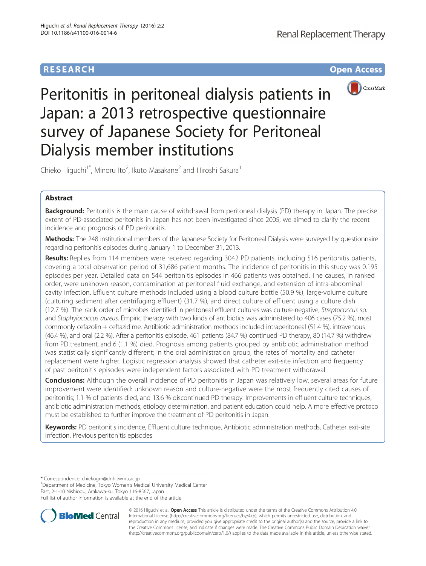# **RESEARCH CHE Open Access**



Peritonitis in peritoneal dialysis patients in Japan: a 2013 retrospective questionnaire survey of Japanese Society for Peritoneal Dialysis member institutions

Chieko Higuchi<sup>1\*</sup>, Minoru Ito<sup>2</sup>, Ikuto Masakane<sup>2</sup> and Hiroshi Sakura<sup>1</sup>

# Abstract

Background: Peritonitis is the main cause of withdrawal from peritoneal dialysis (PD) therapy in Japan. The precise extent of PD-associated peritonitis in Japan has not been investigated since 2005; we aimed to clarify the recent incidence and prognosis of PD peritonitis.

Methods: The 248 institutional members of the Japanese Society for Peritoneal Dialysis were surveyed by questionnaire regarding peritonitis episodes during January 1 to December 31, 2013.

Results: Replies from 114 members were received regarding 3042 PD patients, including 516 peritonitis patients, covering a total observation period of 31,686 patient months. The incidence of peritonitis in this study was 0.195 episodes per year. Detailed data on 544 peritonitis episodes in 466 patients was obtained. The causes, in ranked order, were unknown reason, contamination at peritoneal fluid exchange, and extension of intra-abdominal cavity infection. Effluent culture methods included using a blood culture bottle (50.9 %), large-volume culture (culturing sediment after centrifuging effluent) (31.7 %), and direct culture of effluent using a culture dish (12.7 %). The rank order of microbes identified in peritoneal effluent cultures was culture-negative, Streptococcus sp. and Staphylococcus aureus. Empiric therapy with two kinds of antibiotics was administered to 406 cases (75.2 %), most commonly cefazolin + ceftazidime. Antibiotic administration methods included intraperitoneal (51.4 %), intravenous (46.4 %), and oral (2.2 %). After a peritonitis episode, 461 patients (84.7 %) continued PD therapy, 80 (14.7 %) withdrew from PD treatment, and 6 (1.1 %) died. Prognosis among patients grouped by antibiotic administration method was statistically significantly different; in the oral administration group, the rates of mortality and catheter replacement were higher. Logistic regression analysis showed that catheter exit-site infection and frequency of past peritonitis episodes were independent factors associated with PD treatment withdrawal.

**Conclusions:** Although the overall incidence of PD peritonitis in Japan was relatively low, several areas for future improvement were identified: unknown reason and culture-negative were the most frequently cited causes of peritonitis; 1.1 % of patients died, and 13.6 % discontinued PD therapy. Improvements in effluent culture techniques, antibiotic administration methods, etiology determination, and patient education could help. A more effective protocol must be established to further improve the treatment of PD peritonitis in Japan.

Keywords: PD peritonitis incidence, Effluent culture technique, Antibiotic administration methods, Catheter exit-site infection, Previous peritonitis episodes

\* Correspondence: [chiekogm@dnh.twmu.ac.jp](mailto:chiekogm@dnh.twmu.ac.jp) <sup>1</sup>

<sup>1</sup>Department of Medicine, Tokyo Women's Medical University Medical Center East, 2-1-10 Nishiogu, Arakawa-ku, Tokyo 116-8567, Japan

Full list of author information is available at the end of the article



© 2016 Higuchi et al. Open Access This article is distributed under the terms of the Creative Commons Attribution 4.0 International License [\(http://creativecommons.org/licenses/by/4.0/](http://creativecommons.org/licenses/by/4.0/)), which permits unrestricted use, distribution, and reproduction in any medium, provided you give appropriate credit to the original author(s) and the source, provide a link to the Creative Commons license, and indicate if changes were made. The Creative Commons Public Domain Dedication waiver [\(http://creativecommons.org/publicdomain/zero/1.0/](http://creativecommons.org/publicdomain/zero/1.0/)) applies to the data made available in this article, unless otherwise stated.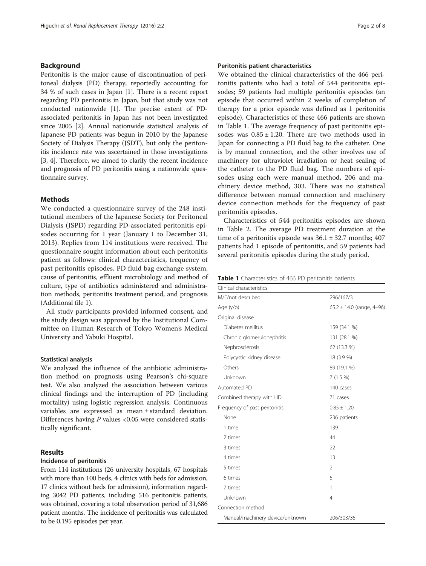# Background

Peritonitis is the major cause of discontinuation of peritoneal dialysis (PD) therapy, reportedly accounting for 34 % of such cases in Japan [\[1](#page-7-0)]. There is a recent report regarding PD peritonitis in Japan, but that study was not conducted nationwide [[1\]](#page-7-0). The precise extent of PDassociated peritonitis in Japan has not been investigated since 2005 [\[2](#page-7-0)]. Annual nationwide statistical analysis of Japanese PD patients was begun in 2010 by the Japanese Society of Dialysis Therapy (JSDT), but only the peritonitis incidence rate was ascertained in those investigations [[3, 4\]](#page-7-0). Therefore, we aimed to clarify the recent incidence and prognosis of PD peritonitis using a nationwide questionnaire survey.

# Methods

We conducted a questionnaire survey of the 248 institutional members of the Japanese Society for Peritoneal Dialysis (JSPD) regarding PD-associated peritonitis episodes occurring for 1 year (January 1 to December 31, 2013). Replies from 114 institutions were received. The questionnaire sought information about each peritonitis patient as follows: clinical characteristics, frequency of past peritonitis episodes, PD fluid bag exchange system, cause of peritonitis, effluent microbiology and method of culture, type of antibiotics administered and administration methods, peritonitis treatment period, and prognosis (Additional file [1](#page-6-0)).

All study participants provided informed consent, and the study design was approved by the Institutional Committee on Human Research of Tokyo Women's Medical University and Yabuki Hospital.

### Statistical analysis

We analyzed the influence of the antibiotic administration method on prognosis using Pearson's chi-square test. We also analyzed the association between various clinical findings and the interruption of PD (including mortality) using logistic regression analysis. Continuous variables are expressed as mean ± standard deviation. Differences having  $P$  values <0.05 were considered statistically significant.

# Results

### Incidence of peritonitis

From 114 institutions (26 university hospitals, 67 hospitals with more than 100 beds, 4 clinics with beds for admission, 17 clinics without beds for admission), information regarding 3042 PD patients, including 516 peritonitis patients, was obtained, covering a total observation period of 31,686 patient months. The incidence of peritonitis was calculated to be 0.195 episodes per year.

# Peritonitis patient characteristics

We obtained the clinical characteristics of the 466 peritonitis patients who had a total of 544 peritonitis episodes; 59 patients had multiple peritonitis episodes (an episode that occurred within 2 weeks of completion of therapy for a prior episode was defined as 1 peritonitis episode). Characteristics of these 466 patients are shown in Table 1. The average frequency of past peritonitis episodes was  $0.85 \pm 1.20$ . There are two methods used in Japan for connecting a PD fluid bag to the catheter. One is by manual connection, and the other involves use of machinery for ultraviolet irradiation or heat sealing of the catheter to the PD fluid bag. The numbers of episodes using each were manual method, 206 and machinery device method, 303. There was no statistical difference between manual connection and machinery device connection methods for the frequency of past peritonitis episodes.

Characteristics of 544 peritonitis episodes are shown in Table [2](#page-2-0). The average PD treatment duration at the time of a peritonitis episode was  $36.1 \pm 32.7$  months; 407 patients had 1 episode of peritonitis, and 59 patients had several peritonitis episodes during the study period.

| Table 1 Characteristics of 466 PD peritonitis patients |  |
|--------------------------------------------------------|--|
|--------------------------------------------------------|--|

| Clinical characteristics        |                               |
|---------------------------------|-------------------------------|
| M/F/not described               | 296/167/3                     |
| Age (y/o)                       | $65.2 \pm 14.0$ (range, 4-96) |
| Original disease                |                               |
| Diabetes mellitus               | 159 (34.1 %)                  |
| Chronic glomerulonephritis      | 131 (28.1 %)                  |
| Nephrosclerosis                 | 62 (13.3 %)                   |
| Polycystic kidney disease       | 18 (3.9 %)                    |
| Others                          | 89 (19.1 %)                   |
| Unknown                         | 7(1.5%)                       |
| Automated PD                    | 140 cases                     |
| Combined therapy with HD        | 71 cases                      |
| Frequency of past peritonitis   | $0.85 \pm 1.20$               |
| None                            | 236 patients                  |
| 1 time                          | 139                           |
| 2 times                         | 44                            |
| 3 times                         | 22                            |
| 4 times                         | 13                            |
| 5 times                         | $\mathfrak{D}$                |
| 6 times                         | 5                             |
| 7 times                         | 1                             |
| Unknown                         | 4                             |
| Connection method               |                               |
| Manual/machinery device/unknown | 206/303/35                    |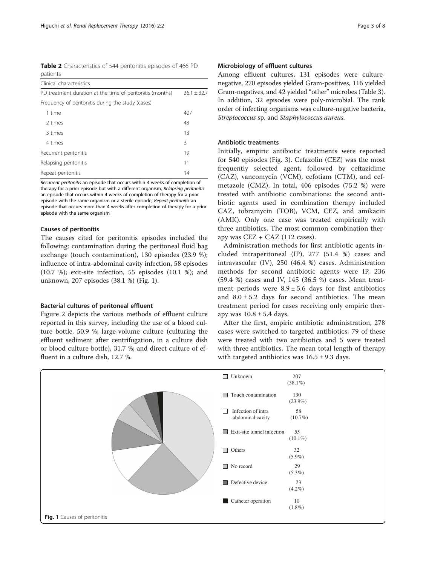<span id="page-2-0"></span>

|          | Table 2 Characteristics of 544 peritonitis episodes of 466 PD |  |  |  |
|----------|---------------------------------------------------------------|--|--|--|
| patients |                                                               |  |  |  |

| Clinical characteristics                                  |               |
|-----------------------------------------------------------|---------------|
| PD treatment duration at the time of peritonitis (months) | $36.1 + 32.7$ |
| Frequency of peritonitis during the study (cases)         |               |
| 1 time                                                    | 407           |
| 2 times                                                   | 43            |
| 3 times                                                   | 13            |
| 4 times                                                   | 3             |
| Recurrent peritonitis                                     | 19            |
| Relapsing peritonitis                                     | 11            |
| Repeat peritonitis                                        | 14            |

Recurrent peritonitis an episode that occurs within 4 weeks of completion of therapy for a prior episode but with a different organism, Relapsing peritonitis an episode that occurs within 4 weeks of completion of therapy for a prior episode with the same organism or a sterile episode, Repeat peritonitis an episode that occurs more than 4 weeks after completion of therapy for a prior episode with the same organism

## Causes of peritonitis

The causes cited for peritonitis episodes included the following: contamination during the peritoneal fluid bag exchange (touch contamination), 130 episodes (23.9 %); influence of intra-abdominal cavity infection, 58 episodes (10.7 %); exit-site infection, 55 episodes (10.1 %); and unknown, 207 episodes (38.1 %) (Fig. 1).

# Bacterial cultures of peritoneal effluent

Figure [2](#page-3-0) depicts the various methods of effluent culture reported in this survey, including the use of a blood culture bottle, 50.9 %; large-volume culture (culturing the effluent sediment after centrifugation, in a culture dish or blood culture bottle), 31.7 %; and direct culture of effluent in a culture dish, 12.7 %.

# Microbiology of effluent cultures

Among effluent cultures, 131 episodes were culturenegative, 270 episodes yielded Gram-positives, 116 yielded Gram-negatives, and 42 yielded "other" microbes (Table [3](#page-3-0)). In addition, 32 episodes were poly-microbial. The rank order of infecting organisms was culture-negative bacteria, Streptococcus sp. and Staphylococcus aureus.

# Antibiotic treatments

Initially, empiric antibiotic treatments were reported for 540 episodes (Fig. [3](#page-4-0)). Cefazolin (CEZ) was the most frequently selected agent, followed by ceftazidime (CAZ), vancomycin (VCM), cefotiam (CTM), and cefmetazole (CMZ). In total, 406 episodes (75.2 %) were treated with antibiotic combinations: the second antibiotic agents used in combination therapy included CAZ, tobramycin (TOB), VCM, CEZ, and amikacin (AMK). Only one case was treated empirically with three antibiotics. The most common combination therapy was  $CEZ + CAZ$  (112 cases).

Administration methods for first antibiotic agents included intraperitoneal (IP), 277 (51.4 %) cases and intravascular (IV), 250 (46.4 %) cases. Administration methods for second antibiotic agents were IP, 236 (59.4 %) cases and IV, 145 (36.5 %) cases. Mean treatment periods were  $8.9 \pm 5.6$  days for first antibiotics and  $8.0 \pm 5.2$  days for second antibiotics. The mean treatment period for cases receiving only empiric therapy was  $10.8 \pm 5.4$  days.

After the first, empiric antibiotic administration, 278 cases were switched to targeted antibiotics; 79 of these were treated with two antibiotics and 5 were treated with three antibiotics. The mean total length of therapy with targeted antibiotics was  $16.5 \pm 9.3$  days.

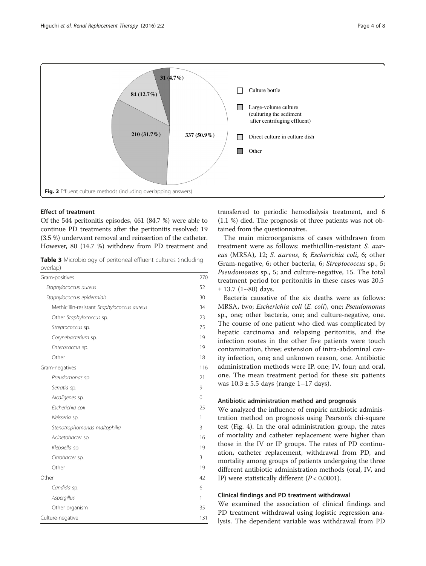<span id="page-3-0"></span>

# Effect of treatment

Of the 544 peritonitis episodes, 461 (84.7 %) were able to continue PD treatments after the peritonitis resolved: 19 (3.5 %) underwent removal and reinsertion of the catheter. However, 80 (14.7 %) withdrew from PD treatment and

Table 3 Microbiology of peritoneal effluent cultures (including overlap)

| Gram-positives                              | 270      |
|---------------------------------------------|----------|
| Staphylococcus aureus                       | 52       |
| Staphylococcus epidermidis                  | 30       |
| Methicillin-resistant Staphylococcus aureus | 34       |
| Other Staphylococcus sp.                    | 23       |
| Streptococcus sp.                           | 75       |
| Corynebacterium sp.                         | 19       |
| Enterococcus sp.                            | 19       |
| Other                                       | 18       |
| Gram-negatives                              | 116      |
| Pseudomonas sp.                             | 21       |
| Serratia sp.                                | 9        |
| Alcaligenes sp.                             | $\Omega$ |
| Escherichia coli                            | 25       |
| Neisseria sp.                               | 1        |
| Stenotrophomonas maltophilia                | 3        |
| Acinetobacter sp.                           | 16       |
| Klebsiella sp.                              | 19       |
| Citrobacter sp.                             | 3        |
| Other                                       | 19       |
| Other                                       | 42       |
| Candida sp.                                 | 6        |
| Aspergillus                                 | 1        |
| Other organism                              | 35       |
| Culture-negative                            | 131      |

transferred to periodic hemodialysis treatment, and 6 (1.1 %) died. The prognosis of three patients was not obtained from the questionnaires.

The main microorganisms of cases withdrawn from treatment were as follows: methicillin-resistant S. aureus (MRSA), 12; S. aureus, 6; Escherichia coli, 6; other Gram-negative, 6; other bacteria, 6; Streptococcus sp., 5; Pseudomonas sp., 5; and culture-negative, 15. The total treatment period for peritonitis in these cases was 20.5  $± 13.7 (1~80)$  days.

Bacteria causative of the six deaths were as follows: MRSA, two; Escherichia coli (E. coli), one; Pseudomonas sp., one; other bacteria, one; and culture-negative, one. The course of one patient who died was complicated by hepatic carcinoma and relapsing peritonitis, and the infection routes in the other five patients were touch contamination, three; extension of intra-abdominal cavity infection, one; and unknown reason, one. Antibiotic administration methods were IP, one; IV, four; and oral, one. The mean treatment period for these six patients was  $10.3 \pm 5.5$  days (range  $1-17$  days).

# Antibiotic administration method and prognosis

We analyzed the influence of empiric antibiotic administration method on prognosis using Pearson's chi-square test (Fig. [4\)](#page-5-0). In the oral administration group, the rates of mortality and catheter replacement were higher than those in the IV or IP groups. The rates of PD continuation, catheter replacement, withdrawal from PD, and mortality among groups of patients undergoing the three different antibiotic administration methods (oral, IV, and IP) were statistically different  $(P < 0.0001)$ .

# Clinical findings and PD treatment withdrawal

We examined the association of clinical findings and PD treatment withdrawal using logistic regression analysis. The dependent variable was withdrawal from PD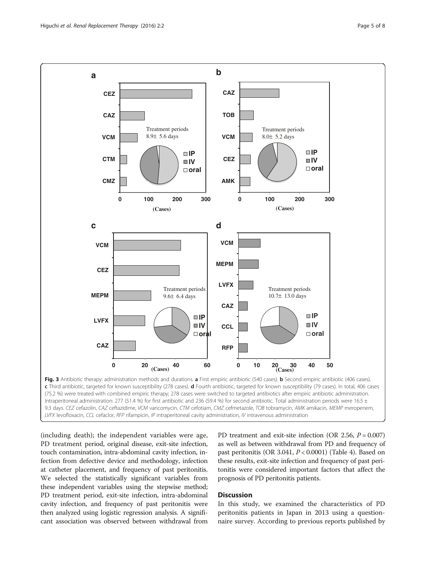<span id="page-4-0"></span>

Intraperitoneal administration: 277 (51.4 %) for first antibiotic and 236 (59.4 %) for second antibiotic. Total administration periods were 16.5 ± 9.3 days. CEZ cefazolin, CAZ ceftazidime, VCM vancomycin, CTM cefotiam, CMZ cefmetazole, TOB tobramycin, AMK amikacin, MEMP meropenem, LVFX levofloxacin, CCL cefaclor, RFP rifampicin, IP intraperitoneal cavity administration, IV intravenous administration

(including death); the independent variables were age, PD treatment period, original disease, exit-site infection, touch contamination, intra-abdominal cavity infection, infection from defective device and methodology, infection at catheter placement, and frequency of past peritonitis. We selected the statistically significant variables from these independent variables using the stepwise method; PD treatment period, exit-site infection, intra-abdominal cavity infection, and frequency of past peritonitis were then analyzed using logistic regression analysis. A significant association was observed between withdrawal from PD treatment and exit-site infection (OR 2.56,  $P = 0.007$ ) as well as between withdrawal from PD and frequency of past peritonitis (OR 3.041,  $P < 0.0001$ ) (Table [4\)](#page-5-0). Based on these results, exit-site infection and frequency of past peritonitis were considered important factors that affect the prognosis of PD peritonitis patients.

# **Discussion**

In this study, we examined the characteristics of PD peritonitis patients in Japan in 2013 using a questionnaire survey. According to previous reports published by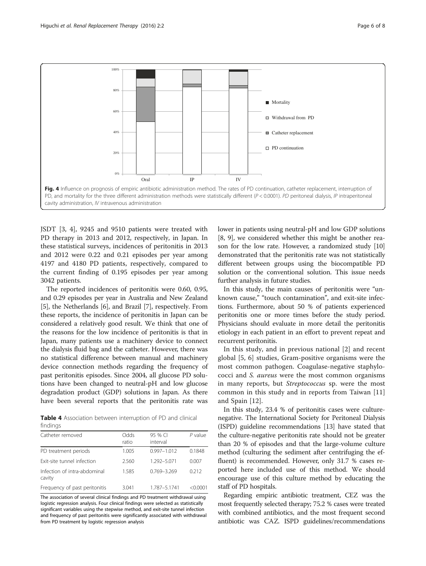<span id="page-5-0"></span>

JSDT [\[3, 4](#page-7-0)], 9245 and 9510 patients were treated with PD therapy in 2013 and 2012, respectively, in Japan. In these statistical surveys, incidences of peritonitis in 2013 and 2012 were 0.22 and 0.21 episodes per year among 4197 and 4180 PD patients, respectively, compared to the current finding of 0.195 episodes per year among 3042 patients.

The reported incidences of peritonitis were 0.60, 0.95, and 0.29 episodes per year in Australia and New Zealand [[5\]](#page-7-0), the Netherlands [[6\]](#page-7-0), and Brazil [[7\]](#page-7-0), respectively. From these reports, the incidence of peritonitis in Japan can be considered a relatively good result. We think that one of the reasons for the low incidence of peritonitis is that in Japan, many patients use a machinery device to connect the dialysis fluid bag and the catheter. However, there was no statistical difference between manual and machinery device connection methods regarding the frequency of past peritonitis episodes. Since 2004, all glucose PD solutions have been changed to neutral-pH and low glucose degradation product (GDP) solutions in Japan. As there have been several reports that the peritonitis rate was

Table 4 Association between interruption of PD and clinical findings

| Catheter removed                       | Odds<br>ratio | 95 % CI<br>interval | $P$ value |
|----------------------------------------|---------------|---------------------|-----------|
| PD treatment periods                   | 1.005         | $0.997 - 1.012$     | 0.1848    |
| Exit-site tunnel infection             | 2.560         | 1.292-5.071         | 0.007     |
| Infection of intra-abdominal<br>cavity | 1.585         | 0.769-3.269         | 0.212     |
| Frequency of past peritonitis          | 3.041         | 1.787-5.1741        | < 0.0001  |

The association of several clinical findings and PD treatment withdrawal using logistic regression analysis. Four clinical findings were selected as statistically significant variables using the stepwise method, and exit-site tunnel infection and frequency of past peritonitis were significantly associated with withdrawal from PD treatment by logistic regression analysis

lower in patients using neutral-pH and low GDP solutions [[8, 9](#page-7-0)], we considered whether this might be another reason for the low rate. However, a randomized study [[10](#page-7-0)] demonstrated that the peritonitis rate was not statistically different between groups using the biocompatible PD solution or the conventional solution. This issue needs further analysis in future studies.

In this study, the main causes of peritonitis were "unknown cause," "touch contamination", and exit-site infections. Furthermore, about 50 % of patients experienced peritonitis one or more times before the study period. Physicians should evaluate in more detail the peritonitis etiology in each patient in an effort to prevent repeat and recurrent peritonitis.

In this study, and in previous national [[2\]](#page-7-0) and recent global [\[5](#page-7-0), [6](#page-7-0)] studies, Gram-positive organisms were the most common pathogen. Coagulase-negative staphylococci and S. aureus were the most common organisms in many reports, but Streptococcus sp. were the most common in this study and in reports from Taiwan [\[11](#page-7-0)] and Spain [\[12](#page-7-0)].

In this study, 23.4 % of peritonitis cases were culturenegative. The International Society for Peritoneal Dialysis (ISPD) guideline recommendations [[13](#page-7-0)] have stated that the culture-negative peritonitis rate should not be greater than 20 % of episodes and that the large-volume culture method (culturing the sediment after centrifuging the effluent) is recommended. However, only 31.7 % cases reported here included use of this method. We should encourage use of this culture method by educating the staff of PD hospitals.

Regarding empiric antibiotic treatment, CEZ was the most frequently selected therapy; 75.2 % cases were treated with combined antibiotics, and the most frequent second antibiotic was CAZ. ISPD guidelines/recommendations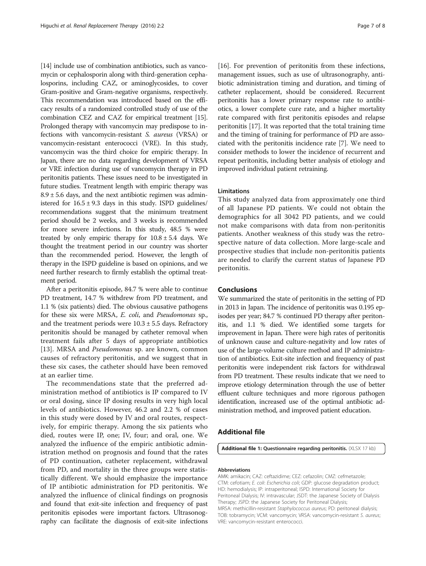<span id="page-6-0"></span>[[14](#page-7-0)] include use of combination antibiotics, such as vancomycin or cephalosporin along with third-generation cephalosporins, including CAZ, or aminoglycosides, to cover Gram-positive and Gram-negative organisms, respectively. This recommendation was introduced based on the efficacy results of a randomized controlled study of use of the combination CEZ and CAZ for empirical treatment [[15](#page-7-0)]. Prolonged therapy with vancomycin may predispose to infections with vancomycin-resistant S. aureus (VRSA) or vancomycin-resistant enterococci (VRE). In this study, vancomycin was the third choice for empiric therapy. In Japan, there are no data regarding development of VRSA or VRE infection during use of vancomycin therapy in PD peritonitis patients. These issues need to be investigated in future studies. Treatment length with empiric therapy was  $8.9 \pm 5.6$  days, and the next antibiotic regimen was administered for  $16.5 \pm 9.3$  days in this study. ISPD guidelines/ recommendations suggest that the minimum treatment period should be 2 weeks, and 3 weeks is recommended for more severe infections. In this study, 48.5 % were treated by only empiric therapy for  $10.8 \pm 5.4$  days. We thought the treatment period in our country was shorter than the recommended period. However, the length of therapy in the ISPD guideline is based on opinions, and we need further research to firmly establish the optimal treatment period.

After a peritonitis episode, 84.7 % were able to continue PD treatment, 14.7 % withdrew from PD treatment, and 1.1 % (six patients) died. The obvious causative pathogens for these six were MRSA, E. coli, and Pseudomonas sp., and the treatment periods were  $10.3 \pm 5.5$  days. Refractory peritonitis should be managed by catheter removal when treatment fails after 5 days of appropriate antibiotics [[13\]](#page-7-0). MRSA and *Pseudomonas* sp. are known, common causes of refractory peritonitis, and we suggest that in these six cases, the catheter should have been removed at an earlier time.

The recommendations state that the preferred administration method of antibiotics is IP compared to IV or oral dosing, since IP dosing results in very high local levels of antibiotics. However, 46.2 and 2.2 % of cases in this study were dosed by IV and oral routes, respectively, for empiric therapy. Among the six patients who died, routes were IP, one; IV, four; and oral, one. We analyzed the influence of the empiric antibiotic administration method on prognosis and found that the rates of PD continuation, catheter replacement, withdrawal from PD, and mortality in the three groups were statistically different. We should emphasize the importance of IP antibiotic administration for PD peritonitis. We analyzed the influence of clinical findings on prognosis and found that exit-site infection and frequency of past peritonitis episodes were important factors. Ultrasonography can facilitate the diagnosis of exit-site infections

[[16](#page-7-0)]. For prevention of peritonitis from these infections, management issues, such as use of ultrasonography, antibiotic administration timing and duration, and timing of catheter replacement, should be considered. Recurrent peritonitis has a lower primary response rate to antibiotics, a lower complete cure rate, and a higher mortality rate compared with first peritonitis episodes and relapse peritonitis [\[17\]](#page-7-0). It was reported that the total training time and the timing of training for performance of PD are associated with the peritonitis incidence rate [[7](#page-7-0)]. We need to consider methods to lower the incidence of recurrent and repeat peritonitis, including better analysis of etiology and improved individual patient retraining.

# Limitations

This study analyzed data from approximately one third of all Japanese PD patients. We could not obtain the demographics for all 3042 PD patients, and we could not make comparisons with data from non-peritonitis patients. Another weakness of this study was the retrospective nature of data collection. More large-scale and prospective studies that include non-peritonitis patients are needed to clarify the current status of Japanese PD peritonitis.

# Conclusions

We summarized the state of peritonitis in the setting of PD in 2013 in Japan. The incidence of peritonitis was 0.195 episodes per year; 84.7 % continued PD therapy after peritonitis, and 1.1 % died. We identified some targets for improvement in Japan. There were high rates of peritonitis of unknown cause and culture-negativity and low rates of use of the large-volume culture method and IP administration of antibiotics. Exit-site infection and frequency of past peritonitis were independent risk factors for withdrawal from PD treatment. These results indicate that we need to improve etiology determination through the use of better effluent culture techniques and more rigorous pathogen identification, increased use of the optimal antibiotic administration method, and improved patient education.

# Additional file

[Additional file 1:](dx.doi.org/10.1186/s41100-016-0014-6) Questionnaire regarding peritonitis. (XLSX 17 kb)

### Abbreviations

AMK: amikacin; CAZ: ceftazidime; CEZ: cefazolin; CMZ: cefmetazole; CTM: cefotiam; E. coli: Escherichia coli; GDP: glucose degradation product; HD: hemodialysis; IP: intraperitoneal; ISPD: International Society for Peritoneal Dialysis; IV: intravascular; JSDT: the Japanese Society of Dialysis Therapy; JSPD: the Japanese Society for Peritoneal Dialysis; MRSA: methicillin-resistant Staphylococcus aureus; PD: peritoneal dialysis; TOB: tobramycin; VCM: vancomycin; VRSA: vancomycin-resistant S. aureus; VRE: vancomycin-resistant enterococci.